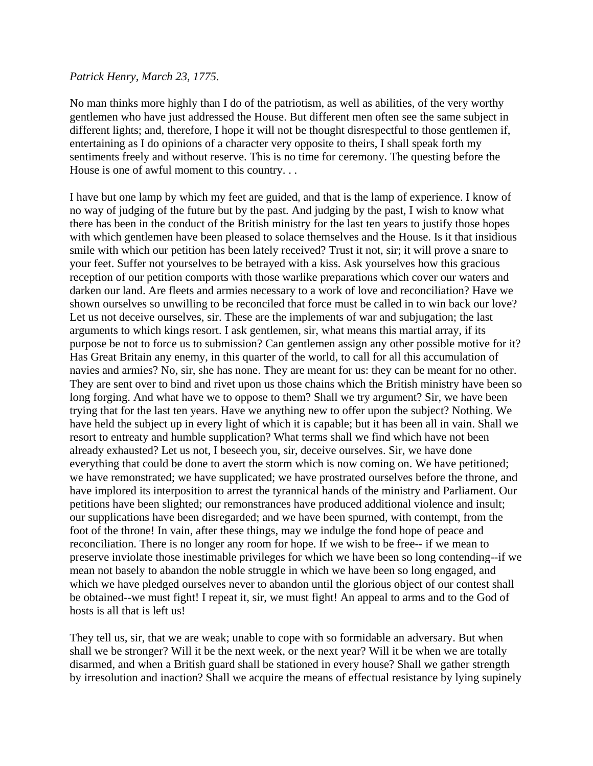## *Patrick Henry, March 23, 1775*.

No man thinks more highly than I do of the patriotism, as well as abilities, of the very worthy gentlemen who have just addressed the House. But different men often see the same subject in different lights; and, therefore, I hope it will not be thought disrespectful to those gentlemen if, entertaining as I do opinions of a character very opposite to theirs, I shall speak forth my sentiments freely and without reserve. This is no time for ceremony. The questing before the House is one of awful moment to this country. . .

I have but one lamp by which my feet are guided, and that is the lamp of experience. I know of no way of judging of the future but by the past. And judging by the past, I wish to know what there has been in the conduct of the British ministry for the last ten years to justify those hopes with which gentlemen have been pleased to solace themselves and the House. Is it that insidious smile with which our petition has been lately received? Trust it not, sir; it will prove a snare to your feet. Suffer not yourselves to be betrayed with a kiss. Ask yourselves how this gracious reception of our petition comports with those warlike preparations which cover our waters and darken our land. Are fleets and armies necessary to a work of love and reconciliation? Have we shown ourselves so unwilling to be reconciled that force must be called in to win back our love? Let us not deceive ourselves, sir. These are the implements of war and subjugation; the last arguments to which kings resort. I ask gentlemen, sir, what means this martial array, if its purpose be not to force us to submission? Can gentlemen assign any other possible motive for it? Has Great Britain any enemy, in this quarter of the world, to call for all this accumulation of navies and armies? No, sir, she has none. They are meant for us: they can be meant for no other. They are sent over to bind and rivet upon us those chains which the British ministry have been so long forging. And what have we to oppose to them? Shall we try argument? Sir, we have been trying that for the last ten years. Have we anything new to offer upon the subject? Nothing. We have held the subject up in every light of which it is capable; but it has been all in vain. Shall we resort to entreaty and humble supplication? What terms shall we find which have not been already exhausted? Let us not, I beseech you, sir, deceive ourselves. Sir, we have done everything that could be done to avert the storm which is now coming on. We have petitioned; we have remonstrated; we have supplicated; we have prostrated ourselves before the throne, and have implored its interposition to arrest the tyrannical hands of the ministry and Parliament. Our petitions have been slighted; our remonstrances have produced additional violence and insult; our supplications have been disregarded; and we have been spurned, with contempt, from the foot of the throne! In vain, after these things, may we indulge the fond hope of peace and reconciliation. There is no longer any room for hope. If we wish to be free-- if we mean to preserve inviolate those inestimable privileges for which we have been so long contending--if we mean not basely to abandon the noble struggle in which we have been so long engaged, and which we have pledged ourselves never to abandon until the glorious object of our contest shall be obtained--we must fight! I repeat it, sir, we must fight! An appeal to arms and to the God of hosts is all that is left us!

They tell us, sir, that we are weak; unable to cope with so formidable an adversary. But when shall we be stronger? Will it be the next week, or the next year? Will it be when we are totally disarmed, and when a British guard shall be stationed in every house? Shall we gather strength by irresolution and inaction? Shall we acquire the means of effectual resistance by lying supinely